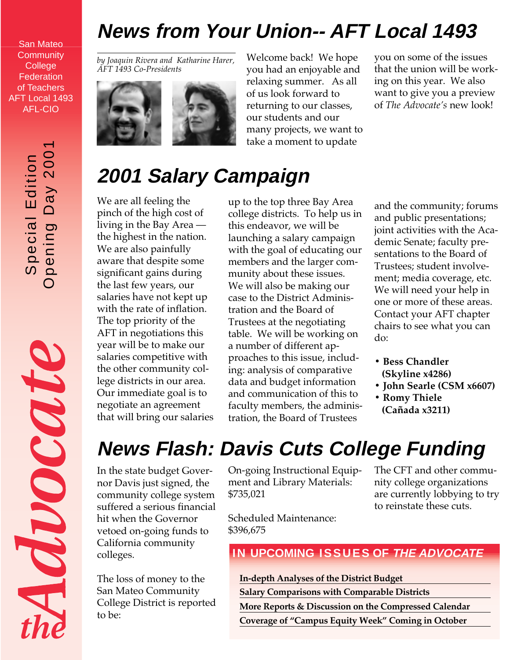### **News from Your Union-- AFT Local 1493**

San Mateo **Community College Federation** of Teachers AFT Local 1493 AFL-CIO

> Opening Day 2001 Special Edition<br>pening Day 200 Special Edition

O

Moocate

*by Joaquin Rivera and Katharine Harer, AFT 1493 Co-Presidents*



Welcome back! We hope you had an enjoyable and relaxing summer. As all of us look forward to returning to our classes, our students and our many projects, we want to take a moment to update

you on some of the issues that the union will be working on this year. We also want to give you a preview of *The Advocate's* new look!

## **2001 Salary Campaign**

We are all feeling the pinch of the high cost of living in the Bay Area the highest in the nation. We are also painfully aware that despite some significant gains during the last few years, our salaries have not kept up with the rate of inflation. The top priority of the AFT in negotiations this year will be to make our salaries competitive with the other community college districts in our area. Our immediate goal is to negotiate an agreement that will bring our salaries up to the top three Bay Area college districts. To help us in this endeavor, we will be launching a salary campaign with the goal of educating our members and the larger community about these issues. We will also be making our case to the District Administration and the Board of Trustees at the negotiating table. We will be working on a number of different approaches to this issue, including: analysis of comparative data and budget information and communication of this to faculty members, the administration, the Board of Trustees

and the community; forums and public presentations; joint activities with the Academic Senate; faculty presentations to the Board of Trustees; student involvement; media coverage, etc. We will need your help in one or more of these areas. Contact your AFT chapter chairs to see what you can do:

- **Bess Chandler (Skyline x4286)**
- **John Searle (CSM x6607)**
- **Romy Thiele (Cañada x3211)**

# **News Flash: Davis Cuts College Funding**

In the state budget Governor Davis just signed, the community college system suffered a serious financial hit when the Governor vetoed on-going funds to California community colleges.

The loss of money to the San Mateo Community College District is reported to be:

On-going Instructional Equipment and Library Materials: \$735,021

Scheduled Maintenance: \$396,675

The CFT and other community college organizations are currently lobbying to try to reinstate these cuts.

**IN UPCOMING ISSUES OF THE ADVOCATE** 

**In-depth Analyses of the District Budget**

**Salary Comparisons with Comparable Districts**

**More Reports & Discussion on the Compressed Calendar Coverage of "Campus Equity Week" Coming in October**